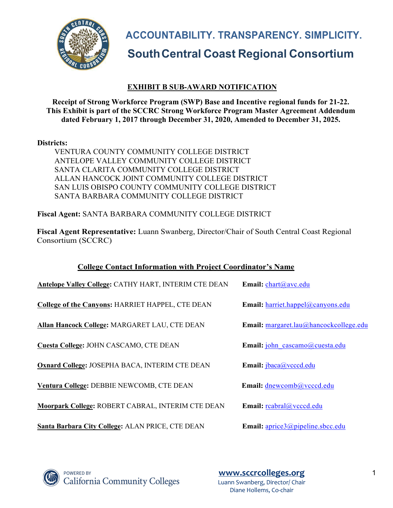

**ACCOUNTABILITY. TRANSPARENCY. SIMPLICITY. SouthCentral Coast Regional Consortium**

# **EXHIBIT B SUB-AWARD NOTIFICATION**

**Receipt of Strong Workforce Program (SWP) Base and Incentive regional funds for 21-22. This Exhibit is part of the SCCRC Strong Workforce Program Master Agreement Addendum dated February 1, 2017 through December 31, 2020, Amended to December 31, 2025.**

#### **Districts:**

VENTURA COUNTY COMMUNITY COLLEGE DISTRICT ANTELOPE VALLEY COMMUNITY COLLEGE DISTRICT SANTA CLARITA COMMUNITY COLLEGE DISTRICT ALLAN HANCOCK JOINT COMMUNITY COLLEGE DISTRICT SAN LUIS OBISPO COUNTY COMMUNITY COLLEGE DISTRICT SANTA BARBARA COMMUNITY COLLEGE DISTRICT

**Fiscal Agent:** SANTA BARBARA COMMUNITY COLLEGE DISTRICT

**Fiscal Agent Representative:** Luann Swanberg, Director/Chair of South Central Coast Regional Consortium (SCCRC)

| <b>College Contact Information with Project Coordinator's Name</b> |  |  |
|--------------------------------------------------------------------|--|--|
|                                                                    |  |  |

| <b>Antelope Valley College: CATHY HART, INTERIM CTE DEAN</b> | Email: chart@avc.edu                     |
|--------------------------------------------------------------|------------------------------------------|
| <b>College of the Canyons: HARRIET HAPPEL, CTE DEAN</b>      | <b>Email:</b> harriet.happel@canyons.edu |
| Allan Hancock College: MARGARET LAU, CTE DEAN                | Email: margaret.lau@hancockcollege.edu   |
| <b>Cuesta College: JOHN CASCAMO, CTE DEAN</b>                | Email: john cascamo@cuesta.edu           |
| Oxnard College: JOSEPHA BACA, INTERIM CTE DEAN               | Email: jbaca@vcccd.edu                   |
| Ventura College: DEBBIE NEWCOMB, CTE DEAN                    | Email: dnewcomb@vcccd.edu                |
| Moorpark College: ROBERT CABRAL, INTERIM CTE DEAN            | Email: reabral@veced.edu                 |
| Santa Barbara City College: ALAN PRICE, CTE DEAN             | Email: aprice3@pipeline.sbcc.edu         |



**POWERED BY California Community Colleges**  **www.sccrcolleges.org** 1 Luann Swanberg, Director/ Chair Diane Hollems, Co-chair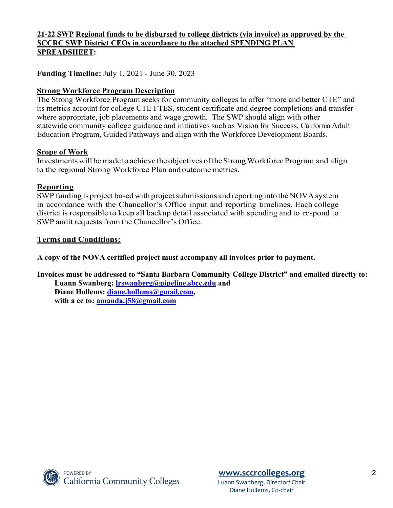## **21-22 SWP Regional funds to be disbursed to college districts (via invoice) as approved by the SCCRC SWP District CEOs in accordance to the attached SPENDING PLAN SPREADSHEET:**

**Funding Timeline:** July 1, 2021 - June 30, 2023

### **Strong Workforce Program Description**

The Strong Workforce Program seeks for community colleges to offer "more and better CTE" and its metrics account for college CTE FTES, student certificate and degree completions and transfer where appropriate, job placements and wage growth. The SWP should align with other statewide community college guidance and initiatives such as Vision for Success, California Adult Education Program, Guided Pathways and align with the Workforce Development Boards.

#### **Scope of Work**

Investments will be made to achieve the objectives of the Strong Workforce Program and align to the regional Strong Workforce Plan and outcome metrics.

#### **Reporting**

SWP funding is project based with project submissions and reporting into the NOVA system in accordance with the Chancellor's Office input and reporting timelines. Each college district is responsible to keep all backup detail associated with spending and to respond to SWP audit requests from the Chancellor's Office.

#### **Terms and Conditions:**

**A copy of the NOVA certified project must accompany all invoices prior to payment.**

**Invoices must be addressed to "Santa Barbara Community College District" and emailed directly to: Luann Swanberg: lrswanberg@pipeline.sbcc.edu and**

**Diane Hollems: diane.hollems@gmail.com, with a cc to: amanda.j58@gmail.com**

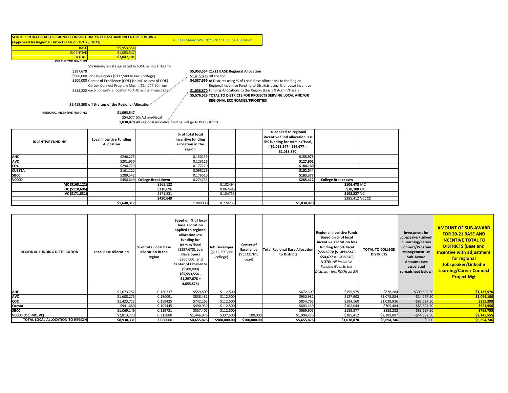#### **SOUTH CENTRAL COAST REGIONAL CONSORTIUM 21-22 BASE AND INCENTIVE FUNDING (Approved by Regional District CEOs on Oct 28, 2021)**

BASE \$5,953,554 INCENTIVE S1,093.5 **TOTAL \$7,047,101 OFF THE TOP FUNDING**

5% Admin/Fiscal (legislated to SBCC as Fiscal Agent)

\$900,000 Job Developers (\$112,500 to each college)  $\qquad \qquad \frac{$1,415,898}{4}$ \$100,000 Center of Excellence (COE) (to MC as host of COE) **\$4,537,656** 

Career Connect Program Mgmt (\$14,777.50 from

\$118,220 each college's allocation to AHC as the Project Lead) 51,038,870

\$297,678 **\$5,953,554 21/22 BASE Regional Allocation** \$1,415,898 off the top

CCCCO Memo SWP 2021-2022 Funding Allocation

\$4,537,656 to Districts using % of Local Base Allocations to the Region Regional Incentive Funding to Districts using % of Local Incentive

\$1,038,870 Funding Allocations to the Region (Less 5% Admin/Fiscal)

**\$5,576,526 TOTAL TO DISTRICTS FOR PROJECTS SERVING LOCAL AND/OR REGIONAL ECONOMIES/PRIORITIES** 

**\$1,415,898 off the top of the Regional Allocation**

 **REGIONAL INCENTIVE FUNDING \$1,093,547**

\$54,677 5% Admin/Fiscal **1,038,870** All regional incentive funding will go to the Districts

| <b>INCENTIVE FUNDING</b> | <b>Local Incentive Funding</b><br>Allocation |                             | % of total local<br>incentive funding<br>allocation in the<br>region |          | % applied to regional<br>incentive fund allocation less<br>5% funding for Admin/Fiscal,<br>$(51,093,547 - 554,677 =$<br>\$1,038,870) |                          |  |
|--------------------------|----------------------------------------------|-----------------------------|----------------------------------------------------------------------|----------|--------------------------------------------------------------------------------------------------------------------------------------|--------------------------|--|
| <b>AHC</b>               | \$246,275                                    |                             | 0.150139                                                             |          | \$155,975                                                                                                                            |                          |  |
| AVC<br>COC               | \$201,950                                    |                             | 0.123116                                                             |          | \$127,902                                                                                                                            |                          |  |
|                          | \$290,779                                    |                             | 0.177270                                                             |          | \$184,160                                                                                                                            |                          |  |
| <b>CUESTA</b>            | \$161,122                                    |                             | 0.098226                                                             |          | \$102,044                                                                                                                            |                          |  |
| <b>SBCC</b>              | \$289,542                                    |                             | 0.176516                                                             |          | \$183,377                                                                                                                            |                          |  |
| <b>VCCCD</b>             |                                              | \$450,649 College Breakdown | 0.274733                                                             |          | \$285,412                                                                                                                            | <b>College Breakdown</b> |  |
| MC (\$168,122)           |                                              | \$168,122                   |                                                                      | 0.102494 |                                                                                                                                      | \$106,478 MC             |  |
| OC (\$110,696)           |                                              | \$110,696                   |                                                                      | 0.067485 |                                                                                                                                      | \$70,108 OC              |  |
| VC (\$171,831)           |                                              | \$171,831                   |                                                                      | 0.104755 |                                                                                                                                      | \$108,827 VC             |  |
|                          |                                              | \$450,649                   |                                                                      |          |                                                                                                                                      | \$285,412 VCCCD          |  |
|                          | \$1,640,317                                  |                             | 1.000000                                                             | 0.274733 | \$1,038,870                                                                                                                          |                          |  |

| <b>REGIONAL FUNDING DISTRIBUTION</b> | <b>Local Base Allocation</b> | % of total local base<br>allocation in the<br>region | Based on % of local<br>base allocation<br>applied to regional<br>allocation less<br>funding for<br>Admin/Fiscal<br>(\$297,678), Job<br><b>Developers</b><br>$( $900,000)$ and<br><b>Center of Excellence</b><br>(\$100,000)<br>$( $5,953,554 -$<br>$$1,297,678 =$<br>4,655,876) | <b>Job Developer</b><br>(\$112,500 per<br>college) | Center of<br>Excellence<br>(VCCCD/MC<br>Lead) | <b>Total Regional Base Allocation</b><br>to Districts | <b>Regional Incentive Funds</b><br>Based on % of local<br>incentive allocation less<br>funding for 5% fiscal<br>(\$54,677): (\$1,093,547 -<br>$$54,677 = 1,038,870$<br><b>NOTE:</b> All Incentive<br>Funding Goes to the<br>Districts - less RC/Fiscal 5% | <b>TOTAL TO COLLEGE</b><br><b>DISTRICTS</b> | Investment for<br>Jobspeaker/LinkedI<br>n Learning/Career<br>Connect/Program<br><b>Management On</b><br>Sub-Award<br><b>Amounts (see</b><br>associated<br>spreadsheet below) | <b>AMOUNT OF SUB-AWARD</b><br><b>FOR 20-21 BASE AND</b><br><b>INCENTIVE TOTAL TO</b><br><b>DISTRICTS (Base and</b><br><b>Incentive with adjustment</b><br>for regional<br>Jobspeaker/LinkedIn<br><b>Learning/Career Connect</b><br><b>Project Mgt</b> |
|--------------------------------------|------------------------------|------------------------------------------------------|---------------------------------------------------------------------------------------------------------------------------------------------------------------------------------------------------------------------------------------------------------------------------------|----------------------------------------------------|-----------------------------------------------|-------------------------------------------------------|-----------------------------------------------------------------------------------------------------------------------------------------------------------------------------------------------------------------------------------------------------------|---------------------------------------------|------------------------------------------------------------------------------------------------------------------------------------------------------------------------------|-------------------------------------------------------------------------------------------------------------------------------------------------------------------------------------------------------------------------------------------------------|
| <b>AHC</b>                           | \$1,073,757                  | 0.120237                                             | \$559,809                                                                                                                                                                                                                                                                       | \$112,500                                          |                                               | \$672,309                                             | \$155,975                                                                                                                                                                                                                                                 | \$828,284                                   | \$309,692.50                                                                                                                                                                 | \$1,137,976                                                                                                                                                                                                                                           |
| <b>AVC</b>                           | \$1,608,273                  | 0.180091                                             | \$838,482                                                                                                                                                                                                                                                                       | \$112,500                                          |                                               | \$950,982                                             | \$127,902                                                                                                                                                                                                                                                 | \$1,078,884                                 | $-$14,777.50$                                                                                                                                                                | \$1,064,106                                                                                                                                                                                                                                           |
| coc                                  | \$1,423,722                  | 0.159425                                             | \$742,265                                                                                                                                                                                                                                                                       | \$112,500                                          |                                               | \$854,765                                             | \$184,160                                                                                                                                                                                                                                                 | \$1,038,926                                 | $-583,527.50$                                                                                                                                                                | \$955,398                                                                                                                                                                                                                                             |
| Cuesta                               | \$941,660                    | 0.105445                                             | \$490,939                                                                                                                                                                                                                                                                       | \$112,500                                          |                                               | \$603,439                                             | \$102,044                                                                                                                                                                                                                                                 | \$705,484                                   | $-$ \$83,527.50                                                                                                                                                              | \$621,956                                                                                                                                                                                                                                             |
| <b>SBCC</b>                          | \$1,069,146                  | 0.119721                                             | \$557,405                                                                                                                                                                                                                                                                       | \$112,500                                          |                                               | \$669,905                                             | \$183,377                                                                                                                                                                                                                                                 | \$853,282                                   | $-$ \$83,527.50                                                                                                                                                              | \$769,755                                                                                                                                                                                                                                             |
| VCCCD (OC, MC, VC)                   | \$2,813,773                  | 0.315080                                             | \$1,466,976                                                                                                                                                                                                                                                                     | \$337,500                                          | 100,000                                       | \$1,904,476                                           | \$285,412                                                                                                                                                                                                                                                 | \$2,189,887                                 | $-$44,332.50$                                                                                                                                                                | \$2,145,555                                                                                                                                                                                                                                           |
| TOTAL LOCAL ALLOCATION TO REGION     | \$8,930,331                  | 1.000000                                             | \$4,655,876                                                                                                                                                                                                                                                                     | \$900,000.00                                       | \$100,000.00                                  | \$5,655,876                                           | \$1,038,870                                                                                                                                                                                                                                               | \$6,694,746                                 | \$0.00                                                                                                                                                                       | \$6,694,746                                                                                                                                                                                                                                           |